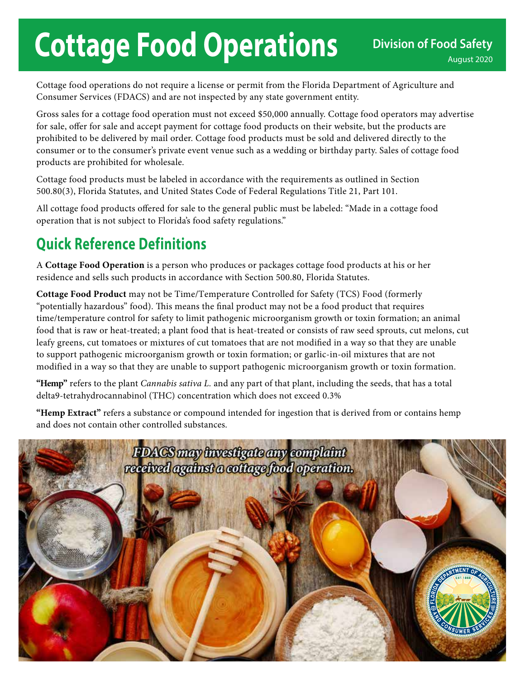# **Cottage Food Operations** Division of Food Safety

Cottage food operations do not require a license or permit from the Florida Department of Agriculture and Consumer Services (FDACS) and are not inspected by any state government entity.

Gross sales for a cottage food operation must not exceed \$50,000 annually. Cottage food operators may advertise for sale, offer for sale and accept payment for cottage food products on their website, but the products are prohibited to be delivered by mail order. Cottage food products must be sold and delivered directly to the consumer or to the consumer's private event venue such as a wedding or birthday party. Sales of cottage food products are prohibited for wholesale.

Cottage food products must be labeled in accordance with the requirements as outlined in Section 500.80(3), Florida Statutes, and United States Code of Federal Regulations Title 21, Part 101.

All cottage food products offered for sale to the general public must be labeled: "Made in a cottage food operation that is not subject to Florida's food safety regulations."

### **Quick Reference Definitions**

A **Cottage Food Operation** is a person who produces or packages cottage food products at his or her residence and sells such products in accordance with Section 500.80, Florida Statutes.

**Cottage Food Product** may not be Time/Temperature Controlled for Safety (TCS) Food (formerly "potentially hazardous" food). This means the final product may not be a food product that requires time/temperature control for safety to limit pathogenic microorganism growth or toxin formation; an animal food that is raw or heat-treated; a plant food that is heat-treated or consists of raw seed sprouts, cut melons, cut leafy greens, cut tomatoes or mixtures of cut tomatoes that are not modified in a way so that they are unable to support pathogenic microorganism growth or toxin formation; or garlic-in-oil mixtures that are not modified in a way so that they are unable to support pathogenic microorganism growth or toxin formation.

**"Hemp"** refers to the plant *Cannabis sativa L.* and any part of that plant, including the seeds, that has a total delta9-tetrahydrocannabinol (THC) concentration which does not exceed 0.3%

**"Hemp Extract"** refers a substance or compound intended for ingestion that is derived from or contains hemp and does not contain other controlled substances.

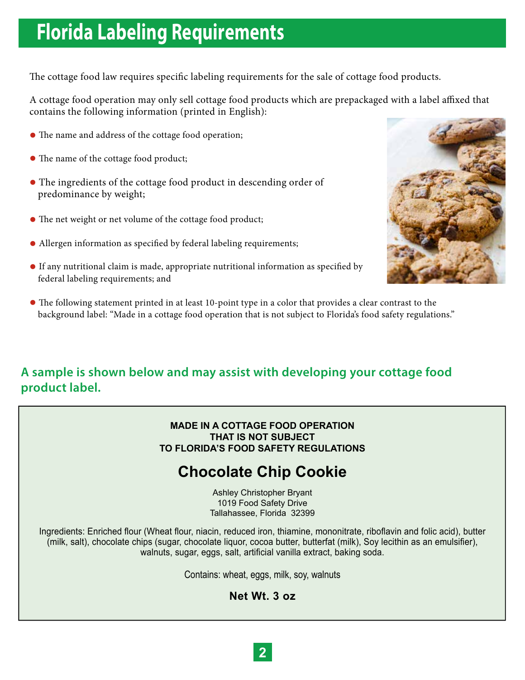## **Florida Labeling Requirements**

The cottage food law requires specific labeling requirements for the sale of cottage food products.

A cottage food operation may only sell cottage food products which are prepackaged with a label affixed that contains the following information (printed in English):

- The name and address of the cottage food operation;
- The name of the cottage food product;
- The ingredients of the cottage food product in descending order of predominance by weight;
- The net weight or net volume of the cottage food product;
- Allergen information as specified by federal labeling requirements;
- If any nutritional claim is made, appropriate nutritional information as specified by federal labeling requirements; and



• The following statement printed in at least 10-point type in a color that provides a clear contrast to the background label: "Made in a cottage food operation that is not subject to Florida's food safety regulations."

### **A sample is shown below and may assist with developing your cottage food product label.**

**MADE IN A COTTAGE FOOD OPERATION THAT IS NOT SUBJECT TO FLORIDA'S FOOD SAFETY REGULATIONS**

### **Chocolate Chip Cookie**

Ashley Christopher Bryant 1019 Food Safety Drive Tallahassee, Florida 32399

Ingredients: Enriched flour (Wheat flour, niacin, reduced iron, thiamine, mononitrate, riboflavin and folic acid), butter (milk, salt), chocolate chips (sugar, chocolate liquor, cocoa butter, butterfat (milk), Soy lecithin as an emulsifier), walnuts, sugar, eggs, salt, artificial vanilla extract, baking soda.

Contains: wheat, eggs, milk, soy, walnuts

### **Net Wt. 3 oz**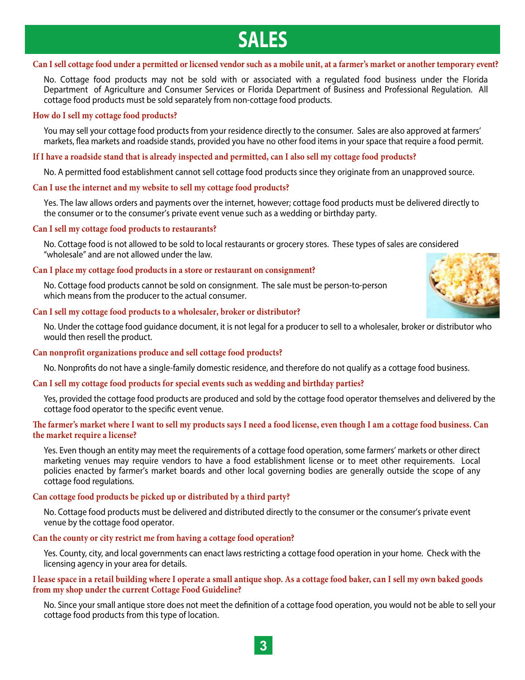### **SALES**

#### **Can I sell cottage food under a permitted or licensed vendor such as a mobile unit, at a farmer's market or another temporary event?**

 No. Cottage food products may not be sold with or associated with a regulated food business under the Florida Department of Agriculture and Consumer Services or Florida Department of Business and Professional Regulation. All cottage food products must be sold separately from non-cottage food products.

#### **How do I sell my cottage food products?**

You may sell your cottage food products from your residence directly to the consumer. Sales are also approved at farmers' markets, flea markets and roadside stands, provided you have no other food items in your space that require a food permit.

#### **If I have a roadside stand that is already inspected and permitted, can I also sell my cottage food products?**

No. A permitted food establishment cannot sell cottage food products since they originate from an unapproved source.

#### **Can I use the internet and my website to sell my cottage food products?**

 Yes. The law allows orders and payments over the internet, however; cottage food products must be delivered directly to the consumer or to the consumer's private event venue such as a wedding or birthday party.

#### **Can I sell my cottage food products to restaurants?**

No. Cottage food is not allowed to be sold to local restaurants or grocery stores. These types of sales are considered "wholesale" and are not allowed under the law.

#### **Can I place my cottage food products in a store or restaurant on consignment?**

 No. Cottage food products cannot be sold on consignment. The sale must be person-to-person which means from the producer to the actual consumer.

#### **Can I sell my cottage food products to a wholesaler, broker or distributor?**

 would then resell the product. No. Under the cottage food guidance document, it is not legal for a producer to sell to a wholesaler, broker or distributor who

#### **Can nonprofit organizations produce and sell cottage food products?**

No. Nonprofits do not have a single-family domestic residence, and therefore do not qualify as a cottage food business.

#### **Can I sell my cottage food products for special events such as wedding and birthday parties?**

Yes, provided the cottage food products are produced and sold by the cottage food operator themselves and delivered by the cottage food operator to the specific event venue.

#### **The farmer's market where I want to sell my products says I need a food license, even though I am a cottage food business. Can the market require a license?**

 Yes. Even though an entity may meet the requirements of a cottage food operation, some farmers' markets or other direct marketing venues may require vendors to have a food establishment license or to meet other requirements. Local policies enacted by farmer's market boards and other local governing bodies are generally outside the scope of any cottage food regulations.

#### **Can cottage food products be picked up or distributed by a third party?**

 No. Cottage food products must be delivered and distributed directly to the consumer or the consumer's private event venue by the cottage food operator.

#### **Can the county or city restrict me from having a cottage food operation?**

Yes. County, city, and local governments can enact laws restricting a cottage food operation in your home. Check with the licensing agency in your area for details.

#### **from my shop under the current Cottage Food Guideline? I lease space in a retail building where I operate a small antique shop. As a cottage food baker, can I sell my own baked goods**

No. Since your small antique store does not meet the definition of a cottage food operation, you would not be able to sell your cottage food products from this type of location.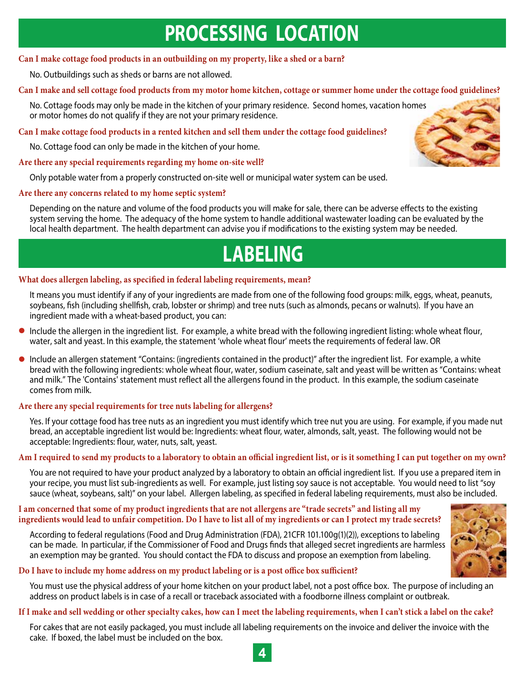### **PROCESSING LOCATION**

#### **Can I make cottage food products in an outbuilding on my property, like a shed or a barn?**

No. Outbuildings such as sheds or barns are not allowed.

#### **Can I make and sell cottage food products from my motor home kitchen, cottage or summer home under the cottage food guidelines?**

No. Cottage foods may only be made in the kitchen of your primary residence. Second homes, vacation homes or motor homes do not qualify if they are not your primary residence.

 **Can I make cottage food products in a rented kitchen and sell them under the cottage food guidelines?** 

No. Cottage food can only be made in the kitchen of your home.

#### **Are there any special requirements regarding my home on-site well?**

Only potable water from a properly constructed on-site well or municipal water system can be used.

#### **Are there any concerns related to my home septic system?**

Depending on the nature and volume of the food products you will make for sale, there can be adverse effects to the existing system serving the home. The adequacy of the home system to handle additional wastewater loading can be evaluated by the local health department. The health department can advise you if modifications to the existing system may be needed.

### **LABELING**

#### **What does allergen labeling, as specified in federal labeling requirements, mean?**

It means you must identify if any of your ingredients are made from one of the following food groups: milk, eggs, wheat, peanuts, soybeans, fish (including shellfish, crab, lobster or shrimp) and tree nuts (such as almonds, pecans or walnuts). If you have an ingredient made with a wheat-based product, you can:

- water, salt and yeast. In this example, the statement 'whole wheat flour' meets the requirements of federal law. OR • Include the allergen in the ingredient list. For example, a white bread with the following ingredient listing: whole wheat flour,<br>• water salt and yeast In this example the statement 'whole wheat flour' meets the require
- bread with the following ingredients: whole wheat flour, water, sodium caseinate, salt and yeast will be written as "Contains: wheat and milk." The 'Contains' statement must reflect all the allergens found in the product. In this example, the sodium caseinate comes from milk. • Include an allergen statement "Contains: (ingredients contained in the product)" after the ingredient list. For example, a white<br>bread with the following ingredients: whole wheat flour, water, sodium caseinate, salt and

#### **Are there any special requirements for tree nuts labeling for allergens?**

 acceptable: Ingredients: flour, water, nuts, salt, yeast. Yes. If your cottage food has tree nuts as an ingredient you must identify which tree nut you are using. For example, if you made nut bread, an acceptable ingredient list would be: Ingredients: wheat flour, water, almonds, salt, yeast. The following would not be

#### **Am I required to send my products to a laboratory to obtain an official ingredient list, or is it something I can put together on my own?**

You are not required to have your product analyzed by a laboratory to obtain an official ingredient list. If you use a prepared item in your recipe, you must list sub-ingredients as well. For example, just listing soy sauce is not acceptable. You would need to list "soy sauce (wheat, soybeans, salt)" on your label. Allergen labeling, as specified in federal labeling requirements, must also be included.

#### **I am concerned that some of my product ingredients that are not allergens are "trade secrets" and listing all my ingredients would lead to unfair competition. Do I have to list all of my ingredients or can I protect my trade secrets?**

According to federal regulations (Food and Drug Administration (FDA), 21CFR 101.100g(1)(2)), exceptions to labeling can be made. In particular, if the Commissioner of Food and Drugs finds that alleged secret ingredients are harmless an exemption may be granted. You should contact the FDA to discuss and propose an exemption from labeling.



#### **Do I have to include my home address on my product labeling or is a post office box sufficient?**

You must use the physical address of your home kitchen on your product label, not a post office box. The purpose of including an address on product labels is in case of a recall or traceback associated with a foodborne illness complaint or outbreak.

#### **If I make and sell wedding or other specialty cakes, how can I meet the labeling requirements, when I can't stick a label on the cake?**

For cakes that are not easily packaged, you must include all labeling requirements on the invoice and deliver the invoice with the cake. If boxed, the label must be included on the box.

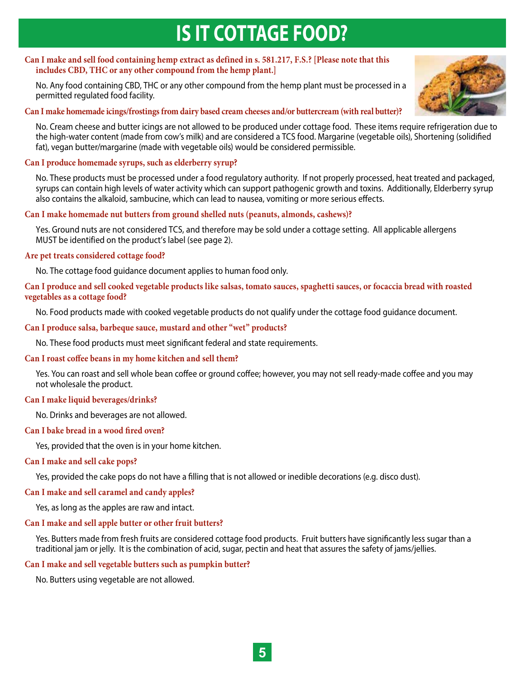# **IS IT COTTAGE FOOD?**

#### **Can I make and sell food containing hemp extract as defined in s. 581.217, F.S.? [Please note that this includes CBD, THC or any other compound from the hemp plant.]**

No. Any food containing CBD, THC or any other compound from the hemp plant must be processed in a permitted regulated food facility.

#### **Can I make homemade icings/frostings from dairy based cream cheeses and/or buttercream (with real butter)?**

No. Cream cheese and butter icings are not allowed to be produced under cottage food. These items require refrigeration due to the high-water content (made from cow's milk) and are considered a TCS food. Margarine (vegetable oils), Shortening (solidified fat), vegan butter/margarine (made with vegetable oils) would be considered permissible.

#### **Can I produce homemade syrups, such as elderberry syrup?**

No. These products must be processed under a food regulatory authority. If not properly processed, heat treated and packaged, syrups can contain high levels of water activity which can support pathogenic growth and toxins. Additionally, Elderberry syrup also contains the alkaloid, sambucine, which can lead to nausea, vomiting or more serious effects.

#### **Can I make homemade nut butters from ground shelled nuts (peanuts, almonds, cashews)?**

 Yes. Ground nuts are not considered TCS, and therefore may be sold under a cottage setting. All applicable allergens MUST be identified on the product's label (see page 2).

#### **Are pet treats considered cottage food?**

No. The cottage food guidance document applies to human food only.

 **vegetables as a cottage food? Can I produce and sell cooked vegetable products like salsas, tomato sauces, spaghetti sauces, or focaccia bread with roasted**

No. Food products made with cooked vegetable products do not qualify under the cottage food guidance document.

#### **Can I produce salsa, barbeque sauce, mustard and other "wet" products?**

No. These food products must meet significant federal and state requirements.

#### **Can I roast coffee beans in my home kitchen and sell them?**

Yes. You can roast and sell whole bean coffee or ground coffee; however, you may not sell ready-made coffee and you may not wholesale the product.

#### **Can I make liquid beverages/drinks?**

No. Drinks and beverages are not allowed.

#### **Can I bake bread in a wood fired oven?**

Yes, provided that the oven is in your home kitchen.

#### **Can I make and sell cake pops?**

Yes, provided the cake pops do not have a filling that is not allowed or inedible decorations (e.g. disco dust).

#### **Can I make and sell caramel and candy apples?**

Yes, as long as the apples are raw and intact.

#### **Can I make and sell apple butter or other fruit butters?**

Yes. Butters made from fresh fruits are considered cottage food products. Fruit butters have significantly less sugar than a traditional jam or jelly. It is the combination of acid, sugar, pectin and heat that assures the safety of jams/jellies.

#### **Can I make and sell vegetable butters such as pumpkin butter?**

No. Butters using vegetable are not allowed.

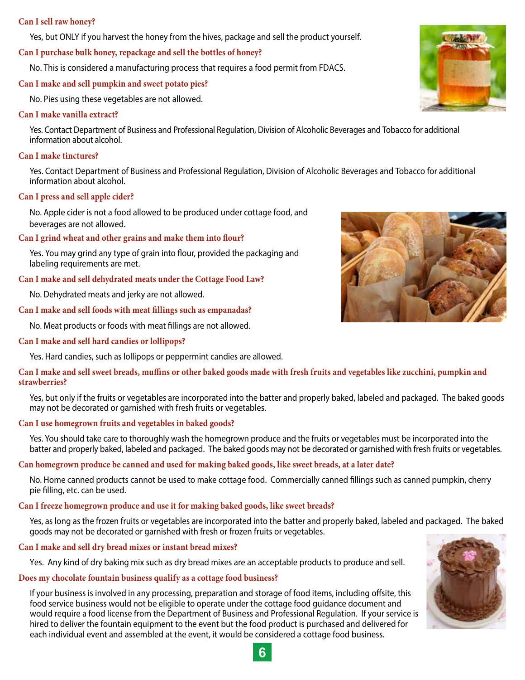#### **Can I sell raw honey?**

Yes, but ONLY if you harvest the honey from the hives, package and sell the product yourself.

**Can I purchase bulk honey, repackage and sell the bottles of honey?** 

No. This is considered a manufacturing process that requires a food permit from FDACS.

#### **Can I make and sell pumpkin and sweet potato pies?**

No. Pies using these vegetables are not allowed.

#### **Can I make vanilla extract?**

Yes. Contact Department of Business and Professional Regulation, Division of Alcoholic Beverages and Tobacco for additional information about alcohol.

#### **Can I make tinctures?**

Yes. Contact Department of Business and Professional Regulation, Division of Alcoholic Beverages and Tobacco for additional information about alcohol.

#### **Can I press and sell apple cider?**

No. Apple cider is not a food allowed to be produced under cottage food, and beverages are not allowed.

#### **Can I grind wheat and other grains and make them into flour?**

Yes. You may grind any type of grain into flour, provided the packaging and labeling requirements are met.

#### **Can I make and sell dehydrated meats under the Cottage Food Law?**

No. Dehydrated meats and jerky are not allowed.

#### **Can I make and sell foods with meat fillings such as empanadas?**

No. Meat products or foods with meat fillings are not allowed.

#### **Can I make and sell hard candies or lollipops?**

Yes. Hard candies, such as lollipops or peppermint candies are allowed.

#### **Can I make and sell sweet breads, muffins or other baked goods made with fresh fruits and vegetables like zucchini, pumpkin and strawberries?**

 Yes, but only if the fruits or vegetables are incorporated into the batter and properly baked, labeled and packaged. The baked goods may not be decorated or garnished with fresh fruits or vegetables.

#### **Can I use homegrown fruits and vegetables in baked goods?**

Yes. You should take care to thoroughly wash the homegrown produce and the fruits or vegetables must be incorporated into the batter and properly baked, labeled and packaged. The baked goods may not be decorated or garnished with fresh fruits or vegetables.

#### **Can homegrown produce be canned and used for making baked goods, like sweet breads, at a later date?**

No. Home canned products cannot be used to make cottage food. Commercially canned fillings such as canned pumpkin, cherry pie filling, etc. can be used.

#### **Can I freeze homegrown produce and use it for making baked goods, like sweet breads?**

Yes, as long as the frozen fruits or vegetables are incorporated into the batter and properly baked, labeled and packaged. The baked goods may not be decorated or garnished with fresh or frozen fruits or vegetables.

#### **Can I make and sell dry bread mixes or instant bread mixes?**

Yes. Any kind of dry baking mix such as dry bread mixes are an acceptable products to produce and sell.

#### **Does my chocolate fountain business qualify as a cottage food business?**

 If your business is involved in any processing, preparation and storage of food items, including offsite, this food service business would not be eligible to operate under the cottage food guidance document and would require a food license from the Department of Business and Professional Regulation. If your service is hired to deliver the fountain equipment to the event but the food product is purchased and delivered for each individual event and assembled at the event, it would be considered a cottage food business.





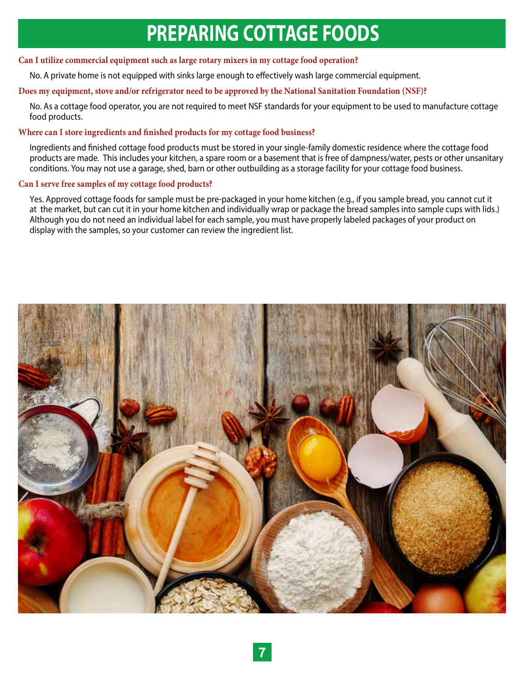### **PREPARING COTTAGE FOODS**

#### **Can I utilize commercial equipment such as large rotary mixers in my cottage food operation?**

No. A private home is not equipped with sinks large enough to effectively wash large commercial equipment.

#### **Does my equipment, stove and/or refrigerator need to be approved by the National Sanitation Foundation (NSF)?**

No. As a cottage food operator, you are not required to meet NSF standards for your equipment to be used to manufacture cottage food products.

#### **Where can I store ingredients and finished products for my cottage food business?**

Ingredients and finished cottage food products must be stored in your single-family domestic residence where the cottage food products are made. This includes your kitchen, a spare room or a basement that is free of dampness/water, pests or other unsanitary conditions. You may not use a garage, shed, barn or other outbuilding as a storage facility for your cottage food business.

#### **Can I serve free samples of my cottage food products?**

 Yes. Approved cottage foods for sample must be pre-packaged in your home kitchen (e.g., if you sample bread, you cannot cut it at the market, but can cut it in your home kitchen and individually wrap or package the bread samples into sample cups with lids.) Although you do not need an individual label for each sample, you must have properly labeled packages of your product on display with the samples, so your customer can review the ingredient list.